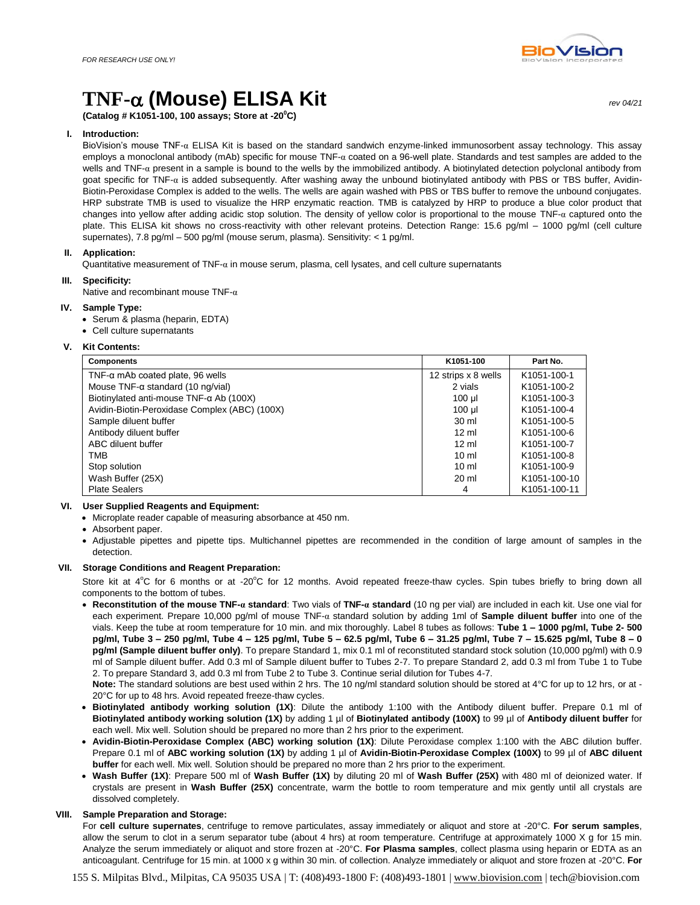# **TNF- (Mouse) ELISA Kit** *rev 04/21*

**(Catalog # K1051-100, 100 assays; Store at -20<sup>0</sup>C)** 

# **I. Introduction:**

BioVision's mouse TNF-α ELISA Kit is based on the standard sandwich enzyme-linked immunosorbent assay technology. This assay employs a monoclonal antibody (mAb) specific for mouse TNF-α coated on a 96-well plate. Standards and test samples are added to the wells and TNF-α present in a sample is bound to the wells by the immobilized antibody. A biotinylated detection polyclonal antibody from goat specific for TNF-α is added subsequently. After washing away the unbound biotinylated antibody with PBS or TBS buffer, Avidin-Biotin-Peroxidase Complex is added to the wells. The wells are again washed with PBS or TBS buffer to remove the unbound conjugates. HRP substrate TMB is used to visualize the HRP enzymatic reaction. TMB is catalyzed by HRP to produce a blue color product that changes into yellow after adding acidic stop solution. The density of yellow color is proportional to the mouse TNF- $\alpha$  captured onto the plate. This ELISA kit shows no cross-reactivity with other relevant proteins. Detection Range: 15.6 pg/ml - 1000 pg/ml (cell culture supernates), 7.8 pg/ml – 500 pg/ml (mouse serum, plasma). Sensitivity: < 1 pg/ml.

# **II. Application:**

Quantitative measurement of TNF- $\alpha$  in mouse serum, plasma, cell lysates, and cell culture supernatants

#### **III. Specificity:**

Native and recombinant mouse TNF-α

## **IV. Sample Type:**

- Serum & plasma (heparin, EDTA)
- Cell culture supernatants

# **V. Kit Contents:**

| <b>Components</b>                               | K1051-100           | Part No.     |
|-------------------------------------------------|---------------------|--------------|
| $TNF$ - $\alpha$ mAb coated plate, 96 wells     | 12 strips x 8 wells | K1051-100-1  |
| Mouse $TNF$ - $\alpha$ standard (10 ng/vial)    | 2 vials             | K1051-100-2  |
| Biotinylated anti-mouse TNF- $\alpha$ Ab (100X) | $100 \mu$           | K1051-100-3  |
| Avidin-Biotin-Peroxidase Complex (ABC) (100X)   | 100 ul              | K1051-100-4  |
| Sample diluent buffer                           | 30 ml               | K1051-100-5  |
| Antibody diluent buffer                         | $12 \text{ ml}$     | K1051-100-6  |
| ABC diluent buffer                              | $12 \text{ ml}$     | K1051-100-7  |
| <b>TMB</b>                                      | $10 \text{ ml}$     | K1051-100-8  |
| Stop solution                                   | $10 \text{ ml}$     | K1051-100-9  |
| Wash Buffer (25X)                               | $20 \text{ ml}$     | K1051-100-10 |
| <b>Plate Sealers</b>                            | 4                   | K1051-100-11 |

#### **VI. User Supplied Reagents and Equipment:**

- Microplate reader capable of measuring absorbance at 450 nm.
- Absorbent paper.
- Adjustable pipettes and pipette tips. Multichannel pipettes are recommended in the condition of large amount of samples in the detection.

## **VII. Storage Conditions and Reagent Preparation:**

Store kit at  $4^{\circ}$ C for 6 months or at -20 $^{\circ}$ C for 12 months. Avoid repeated freeze-thaw cycles. Spin tubes briefly to bring down all components to the bottom of tubes.

 **Reconstitution of the mouse TNF-α standard**: Two vials of **TNF-α standard** (10 ng per vial) are included in each kit. Use one vial for each experiment. Prepare 10,000 pg/ml of mouse TNF-α standard solution by adding 1ml of **Sample diluent buffer** into one of the vials. Keep the tube at room temperature for 10 min. and mix thoroughly. Label 8 tubes as follows: **Tube 1 – 1000 pg/ml, Tube 2- 500 pg/ml, Tube 3 – 250 pg/ml, Tube 4 – 125 pg/ml, Tube 5 – 62.5 pg/ml, Tube 6 – 31.25 pg/ml, Tube 7 – 15.625 pg/ml, Tube 8 – 0 pg/ml (Sample diluent buffer only)**. To prepare Standard 1, mix 0.1 ml of reconstituted standard stock solution (10,000 pg/ml) with 0.9 ml of Sample diluent buffer. Add 0.3 ml of Sample diluent buffer to Tubes 2-7. To prepare Standard 2, add 0.3 ml from Tube 1 to Tube 2. To prepare Standard 3, add 0.3 ml from Tube 2 to Tube 3. Continue serial dilution for Tubes 4-7.

**Note:** The standard solutions are best used within 2 hrs. The 10 ng/ml standard solution should be stored at 4°C for up to 12 hrs, or at - 20°C for up to 48 hrs. Avoid repeated freeze-thaw cycles.

- **Biotinylated antibody working solution (1X)**: Dilute the antibody 1:100 with the Antibody diluent buffer. Prepare 0.1 ml of **Biotinylated antibody working solution (1X)** by adding 1 µl of **Biotinylated antibody (100X)** to 99 µl of **Antibody diluent buffer** for each well. Mix well. Solution should be prepared no more than 2 hrs prior to the experiment.
- **Avidin-Biotin-Peroxidase Complex (ABC) working solution (1X)**: Dilute Peroxidase complex 1:100 with the ABC dilution buffer. Prepare 0.1 ml of **ABC working solution (1X)** by adding 1 µl of **Avidin-Biotin-Peroxidase Complex (100X)** to 99 µl of **ABC diluent buffer** for each well. Mix well. Solution should be prepared no more than 2 hrs prior to the experiment.
- **Wash Buffer (1X)**: Prepare 500 ml of **Wash Buffer (1X)** by diluting 20 ml of **Wash Buffer (25X)** with 480 ml of deionized water. If crystals are present in **Wash Buffer (25X)** concentrate, warm the bottle to room temperature and mix gently until all crystals are dissolved completely.

## **VIII. Sample Preparation and Storage:**

For **cell culture supernates**, centrifuge to remove particulates, assay immediately or aliquot and store at -20°C. **For serum samples**, allow the serum to clot in a serum separator tube (about 4 hrs) at room temperature. Centrifuge at approximately 1000 X g for 15 min. Analyze the serum immediately or aliquot and store frozen at -20°C. **For Plasma samples**, collect plasma using heparin or EDTA as an anticoagulant. Centrifuge for 15 min. at 1000 x g within 30 min. of collection. Analyze immediately or aliquot and store frozen at -20°C. **For** 

155 S. Milpitas Blvd., Milpitas, CA 95035 USA | T: (408)493-1800 F: (408)493-1801 [| www.biovision.com](http://www.biovision.com/) | tech@biovision.com